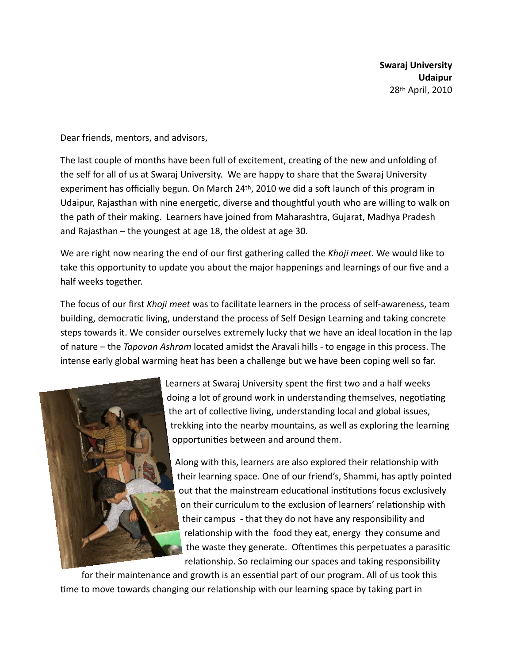Dear friends, mentors, and advisors,

The last couple of months have been full of excitement, creating of the new and unfolding of the self for all of us at Swaraj University. We are happy to share that the Swaraj University experiment has officially begun. On March 24<sup>th</sup>, 2010 we did a soft launch of this program in Udaipur, Rajasthan with nine energetic, diverse and thoughtful youth who are willing to walk on the path of their making. Learners have joined from Maharashtra, Gujarat, Madhya Pradesh and Rajasthan – the youngest at age 18, the oldest at age 30.

We are right now nearing the end of our first gathering called the *Khoji meet.* We would like to take this opportunity to update you about the major happenings and learnings of our five and a half weeks together.

The focus of our first *Khoji meet* was to facilitate learners in the process of self-awareness, team building, democratic living, understand the process of Self Design Learning and taking concrete steps towards it. We consider ourselves extremely lucky that we have an ideal location in the lap of nature – the *Tapovan Ashram* located amidst the Aravali hills - to engage in this process. The intense early global warming heat has been a challenge but we have been coping well so far.



Learners at Swaraj University spent the first two and a half weeks doing a lot of ground work in understanding themselves, negotiating the art of collective living, understanding local and global issues, trekking into the nearby mountains, as well as exploring the learning opportunities between and around them.

Along with this, learners are also explored their relationship with their learning space. One of our friend's, Shammi, has aptly pointed out that the mainstream educational institutions focus exclusively on their curriculum to the exclusion of learners' relationship with their campus - that they do not have any responsibility and relationship with the food they eat, energy they consume and the waste they generate. Oftentimes this perpetuates a parasitic relationship. So reclaiming our spaces and taking responsibility

for their maintenance and growth is an essential part of our program. All of us took this time to move towards changing our relationship with our learning space by taking part in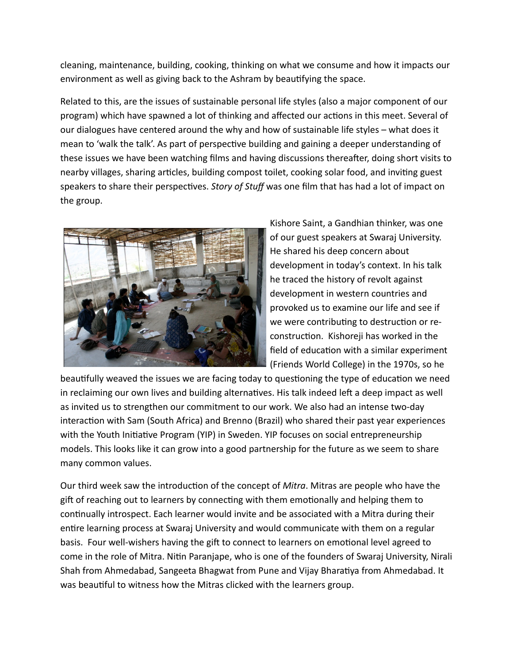cleaning, maintenance, building, cooking, thinking on what we consume and how it impacts our environment as well as giving back to the Ashram by beautifying the space.

Related to this, are the issues of sustainable personal life styles (also a major component of our program) which have spawned a lot of thinking and affected our actions in this meet. Several of our dialogues have centered around the why and how of sustainable life styles – what does it mean to 'walk the talk'. As part of perspective building and gaining a deeper understanding of these issues we have been watching films and having discussions thereafter, doing short visits to nearby villages, sharing articles, building compost toilet, cooking solar food, and inviting guest speakers to share their perspectives. *Story of Stuff* was one film that has had a lot of impact on the group.



Kishore Saint, a Gandhian thinker, was one of our guest speakers at Swaraj University. He shared his deep concern about development in today's context. In his talk he traced the history of revolt against development in western countries and provoked us to examine our life and see if we were contributing to destruction or reconstruction. Kishoreji has worked in the field of education with a similar experiment (Friends World College) in the 1970s, so he

beautifully weaved the issues we are facing today to questioning the type of education we need in reclaiming our own lives and building alternatives. His talk indeed left a deep impact as well as invited us to strengthen our commitment to our work. We also had an intense two-day interaction with Sam (South Africa) and Brenno (Brazil) who shared their past year experiences with the Youth Initiative Program (YIP) in Sweden. YIP focuses on social entrepreneurship models. This looks like it can grow into a good partnership for the future as we seem to share many common values.

Our third week saw the introduction of the concept of *Mitra*. Mitras are people who have the gift of reaching out to learners by connecting with them emotionally and helping them to continually introspect. Each learner would invite and be associated with a Mitra during their entire learning process at Swaraj University and would communicate with them on a regular basis. Four well-wishers having the gift to connect to learners on emotional level agreed to come in the role of Mitra. Nitin Paranjape, who is one of the founders of Swaraj University, Nirali Shah from Ahmedabad, Sangeeta Bhagwat from Pune and Vijay Bharatiya from Ahmedabad. It was beautiful to witness how the Mitras clicked with the learners group.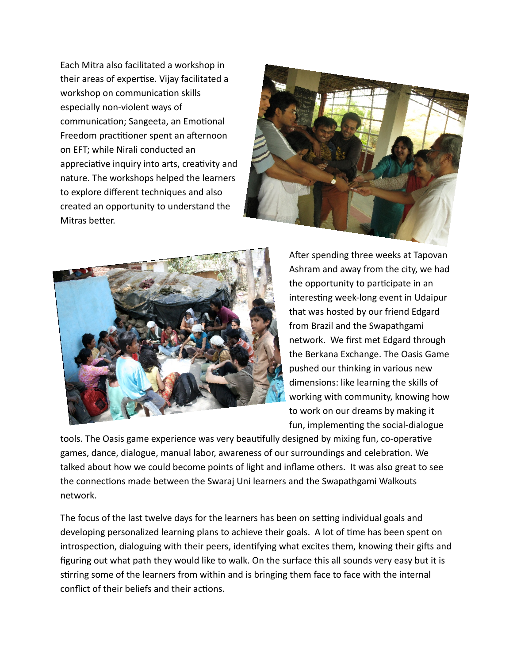Each Mitra also facilitated a workshop in their areas of expertise. Vijay facilitated a workshop on communication skills especially non-violent ways of communication; Sangeeta, an Emotional Freedom practitioner spent an afternoon on EFT; while Nirali conducted an appreciative inquiry into arts, creativity and nature. The workshops helped the learners to explore different techniques and also created an opportunity to understand the Mitras better.





After spending three weeks at Tapovan Ashram and away from the city, we had the opportunity to participate in an interesting week-long event in Udaipur that was hosted by our friend Edgard from Brazil and the Swapathgami network. We first met Edgard through the Berkana Exchange. The Oasis Game pushed our thinking in various new dimensions: like learning the skills of working with community, knowing how to work on our dreams by making it fun, implementing the social-dialogue

tools. The Oasis game experience was very beautifully designed by mixing fun, co-operative games, dance, dialogue, manual labor, awareness of our surroundings and celebration. We talked about how we could become points of light and inflame others. It was also great to see the connections made between the Swaraj Uni learners and the Swapathgami Walkouts network.

The focus of the last twelve days for the learners has been on setting individual goals and developing personalized learning plans to achieve their goals. A lot of time has been spent on introspection, dialoguing with their peers, identifying what excites them, knowing their gifts and figuring out what path they would like to walk. On the surface this all sounds very easy but it is stirring some of the learners from within and is bringing them face to face with the internal conflict of their beliefs and their actions.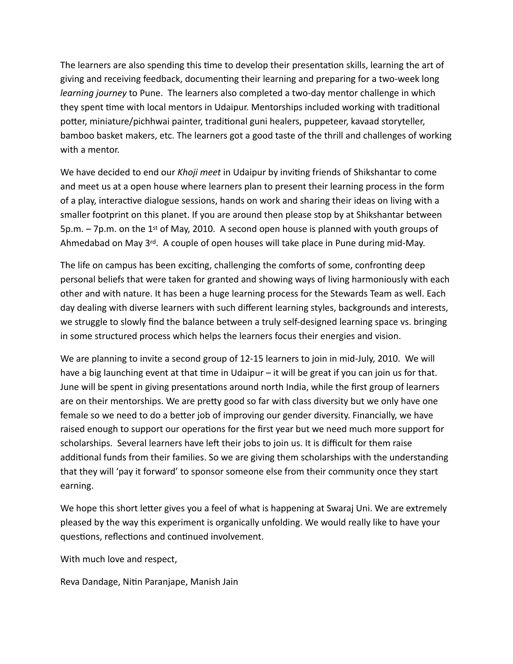The learners are also spending this time to develop their presentation skills, learning the art of giving and receiving feedback, documenting their learning and preparing for a two-week long *learning journey* to Pune. The learners also completed a two-day mentor challenge in which they spent time with local mentors in Udaipur. Mentorships included working with traditional potter, miniature/pichhwai painter, traditional guni healers, puppeteer, kavaad storyteller, bamboo basket makers, etc. The learners got a good taste of the thrill and challenges of working with a mentor.

We have decided to end our *Khoji meet* in Udaipur by inviting friends of Shikshantar to come and meet us at a open house where learners plan to present their learning process in the form of a play, interactive dialogue sessions, hands on work and sharing their ideas on living with a smaller footprint on this planet. If you are around then please stop by at Shikshantar between  $5p.m. - 7p.m.$  on the 1<sup>st</sup> of May, 2010. A second open house is planned with youth groups of Ahmedabad on May  $3^{rd}$ . A couple of open houses will take place in Pune during mid-May.

The life on campus has been exciting, challenging the comforts of some, confronting deep personal beliefs that were taken for granted and showing ways of living harmoniously with each other and with nature. It has been a huge learning process for the Stewards Team as well. Each day dealing with diverse learners with such different learning styles, backgrounds and interests, we struggle to slowly find the balance between a truly self-designed learning space vs. bringing in some structured process which helps the learners focus their energies and vision.

We are planning to invite a second group of 12-15 learners to join in mid-July, 2010. We will have a big launching event at that time in Udaipur – it will be great if you can join us for that. June will be spent in giving presentations around north India, while the first group of learners are on their mentorships. We are pretty good so far with class diversity but we only have one female so we need to do a better job of improving our gender diversity. Financially, we have raised enough to support our operations for the first year but we need much more support for scholarships. Several learners have left their jobs to join us. It is difficult for them raise additional funds from their families. So we are giving them scholarships with the understanding that they will 'pay it forward' to sponsor someone else from their community once they start earning.

We hope this short letter gives you a feel of what is happening at Swaraj Uni. We are extremely pleased by the way this experiment is organically unfolding. We would really like to have your questions, reflections and continued involvement.

With much love and respect,

Reva Dandage, Nitin Paranjape, Manish Jain